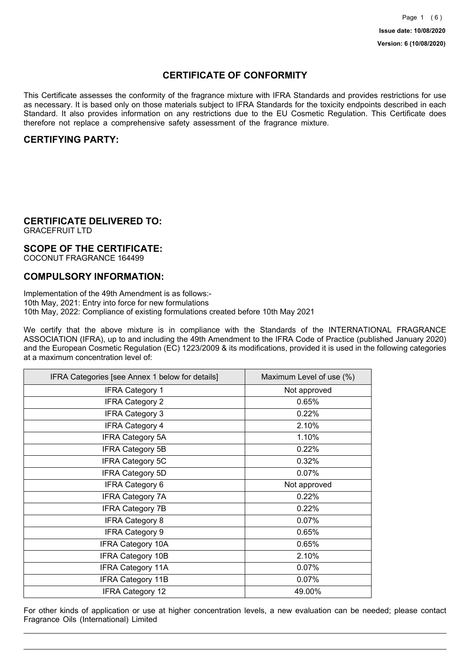## **CERTIFICATE OF CONFORMITY**

This Certificate assesses the conformity of the fragrance mixture with IFRA Standards and provides restrictions for use as necessary. It is based only on those materials subject to IFRA Standards for the toxicity endpoints described in each Standard. It also provides information on any restrictions due to the EU Cosmetic Regulation. This Certificate does therefore not replace a comprehensive safety assessment of the fragrance mixture.

## **CERTIFYING PARTY:**

## **CERTIFICATE DELIVERED TO:**

GRACEFRUIT LTD

### **SCOPE OF THE CERTIFICATE:**

COCONUT FRAGRANCE 164499

### **COMPULSORY INFORMATION:**

Implementation of the 49th Amendment is as follows:- 10th May, 2021: Entry into force for new formulations 10th May, 2022: Compliance of existing formulations created before 10th May 2021

We certify that the above mixture is in compliance with the Standards of the INTERNATIONAL FRAGRANCE ASSOCIATION (IFRA), up to and including the 49th Amendment to the IFRA Code of Practice (published January 2020) and the European Cosmetic Regulation (EC) 1223/2009 & its modifications, provided it is used in the following categories at a maximum concentration level of:

| IFRA Categories [see Annex 1 below for details] | Maximum Level of use (%) |
|-------------------------------------------------|--------------------------|
| <b>IFRA Category 1</b>                          | Not approved             |
| <b>IFRA Category 2</b>                          | 0.65%                    |
| <b>IFRA Category 3</b>                          | 0.22%                    |
| <b>IFRA Category 4</b>                          | 2.10%                    |
| <b>IFRA Category 5A</b>                         | 1.10%                    |
| <b>IFRA Category 5B</b>                         | 0.22%                    |
| <b>IFRA Category 5C</b>                         | 0.32%                    |
| <b>IFRA Category 5D</b>                         | 0.07%                    |
| IFRA Category 6                                 | Not approved             |
| <b>IFRA Category 7A</b>                         | 0.22%                    |
| <b>IFRA Category 7B</b>                         | 0.22%                    |
| <b>IFRA Category 8</b>                          | 0.07%                    |
| <b>IFRA Category 9</b>                          | 0.65%                    |
| <b>IFRA Category 10A</b>                        | 0.65%                    |
| <b>IFRA Category 10B</b>                        | 2.10%                    |
| <b>IFRA Category 11A</b>                        | 0.07%                    |
| <b>IFRA Category 11B</b>                        | 0.07%                    |
| <b>IFRA Category 12</b>                         | 49.00%                   |

For other kinds of application or use at higher concentration levels, a new evaluation can be needed; please contact Fragrance Oils (International) Limited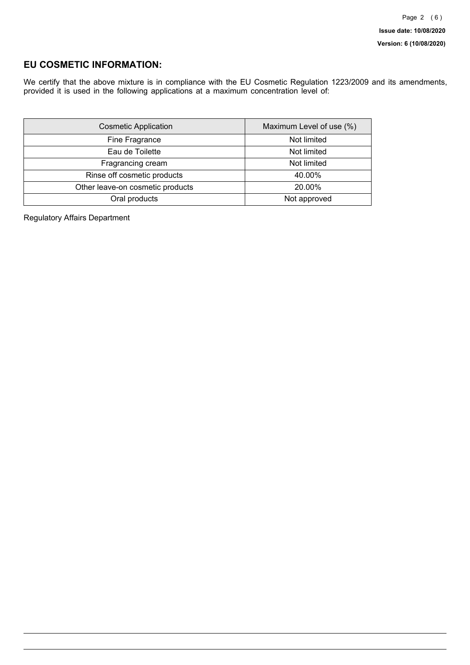## **EU COSMETIC INFORMATION:**

We certify that the above mixture is in compliance with the EU Cosmetic Regulation 1223/2009 and its amendments, provided it is used in the following applications at a maximum concentration level of:

| <b>Cosmetic Application</b>      | Maximum Level of use (%) |
|----------------------------------|--------------------------|
| Fine Fragrance                   | Not limited              |
| Eau de Toilette                  | Not limited              |
| Fragrancing cream                | Not limited              |
| Rinse off cosmetic products      | 40.00%                   |
| Other leave-on cosmetic products | 20.00%                   |
| Oral products                    | Not approved             |

Regulatory Affairs Department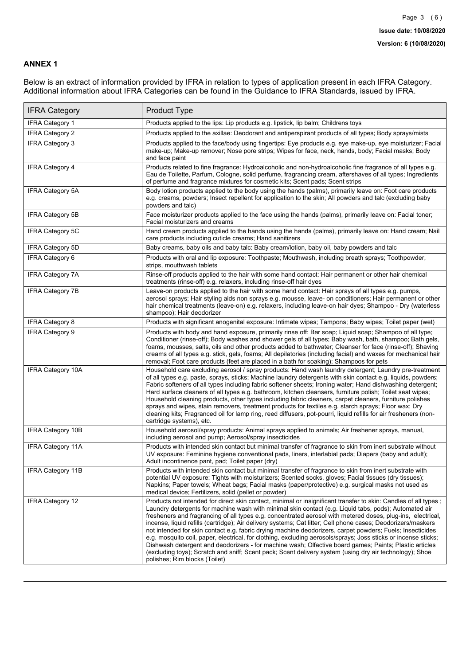### **ANNEX 1**

Below is an extract of information provided by IFRA in relation to types of application present in each IFRA Category. Additional information about IFRA Categories can be found in the Guidance to IFRA Standards, issued by IFRA.

| <b>IFRA Category</b>     | Product Type                                                                                                                                                                                                                                                                                                                                                                                                                                                                                                                                                                                                                                                                                                                                                                                                                                                                                                                                 |
|--------------------------|----------------------------------------------------------------------------------------------------------------------------------------------------------------------------------------------------------------------------------------------------------------------------------------------------------------------------------------------------------------------------------------------------------------------------------------------------------------------------------------------------------------------------------------------------------------------------------------------------------------------------------------------------------------------------------------------------------------------------------------------------------------------------------------------------------------------------------------------------------------------------------------------------------------------------------------------|
| <b>IFRA Category 1</b>   | Products applied to the lips: Lip products e.g. lipstick, lip balm; Childrens toys                                                                                                                                                                                                                                                                                                                                                                                                                                                                                                                                                                                                                                                                                                                                                                                                                                                           |
| <b>IFRA Category 2</b>   | Products applied to the axillae: Deodorant and antiperspirant products of all types; Body sprays/mists                                                                                                                                                                                                                                                                                                                                                                                                                                                                                                                                                                                                                                                                                                                                                                                                                                       |
| <b>IFRA Category 3</b>   | Products applied to the face/body using fingertips: Eye products e.g. eye make-up, eye moisturizer; Facial<br>make-up; Make-up remover; Nose pore strips; Wipes for face, neck, hands, body; Facial masks; Body<br>and face paint                                                                                                                                                                                                                                                                                                                                                                                                                                                                                                                                                                                                                                                                                                            |
| <b>IFRA Category 4</b>   | Products related to fine fragrance: Hydroalcoholic and non-hydroalcoholic fine fragrance of all types e.g.<br>Eau de Toilette, Parfum, Cologne, solid perfume, fragrancing cream, aftershaves of all types; Ingredients<br>of perfume and fragrance mixtures for cosmetic kits; Scent pads; Scent strips                                                                                                                                                                                                                                                                                                                                                                                                                                                                                                                                                                                                                                     |
| <b>IFRA Category 5A</b>  | Body lotion products applied to the body using the hands (palms), primarily leave on: Foot care products<br>e.g. creams, powders; Insect repellent for application to the skin; All powders and talc (excluding baby<br>powders and talc)                                                                                                                                                                                                                                                                                                                                                                                                                                                                                                                                                                                                                                                                                                    |
| IFRA Category 5B         | Face moisturizer products applied to the face using the hands (palms), primarily leave on: Facial toner;<br>Facial moisturizers and creams                                                                                                                                                                                                                                                                                                                                                                                                                                                                                                                                                                                                                                                                                                                                                                                                   |
| <b>IFRA Category 5C</b>  | Hand cream products applied to the hands using the hands (palms), primarily leave on: Hand cream; Nail<br>care products including cuticle creams; Hand sanitizers                                                                                                                                                                                                                                                                                                                                                                                                                                                                                                                                                                                                                                                                                                                                                                            |
| <b>IFRA Category 5D</b>  | Baby creams, baby oils and baby talc: Baby cream/lotion, baby oil, baby powders and talc                                                                                                                                                                                                                                                                                                                                                                                                                                                                                                                                                                                                                                                                                                                                                                                                                                                     |
| IFRA Category 6          | Products with oral and lip exposure: Toothpaste; Mouthwash, including breath sprays; Toothpowder,<br>strips, mouthwash tablets                                                                                                                                                                                                                                                                                                                                                                                                                                                                                                                                                                                                                                                                                                                                                                                                               |
| <b>IFRA Category 7A</b>  | Rinse-off products applied to the hair with some hand contact: Hair permanent or other hair chemical<br>treatments (rinse-off) e.g. relaxers, including rinse-off hair dyes                                                                                                                                                                                                                                                                                                                                                                                                                                                                                                                                                                                                                                                                                                                                                                  |
| <b>IFRA Category 7B</b>  | Leave-on products applied to the hair with some hand contact: Hair sprays of all types e.g. pumps,<br>aerosol sprays; Hair styling aids non sprays e.g. mousse, leave- on conditioners; Hair permanent or other<br>hair chemical treatments (leave-on) e.g. relaxers, including leave-on hair dyes; Shampoo - Dry (waterless<br>shampoo); Hair deodorizer                                                                                                                                                                                                                                                                                                                                                                                                                                                                                                                                                                                    |
| IFRA Category 8          | Products with significant anogenital exposure: Intimate wipes; Tampons; Baby wipes; Toilet paper (wet)                                                                                                                                                                                                                                                                                                                                                                                                                                                                                                                                                                                                                                                                                                                                                                                                                                       |
| <b>IFRA Category 9</b>   | Products with body and hand exposure, primarily rinse off: Bar soap; Liquid soap; Shampoo of all type;<br>Conditioner (rinse-off); Body washes and shower gels of all types; Baby wash, bath, shampoo; Bath gels,<br>foams, mousses, salts, oils and other products added to bathwater; Cleanser for face (rinse-off); Shaving<br>creams of all types e.g. stick, gels, foams; All depilatories (including facial) and waxes for mechanical hair<br>removal; Foot care products (feet are placed in a bath for soaking); Shampoos for pets                                                                                                                                                                                                                                                                                                                                                                                                   |
| <b>IFRA Category 10A</b> | Household care excluding aerosol / spray products: Hand wash laundry detergent; Laundry pre-treatment<br>of all types e.g. paste, sprays, sticks; Machine laundry detergents with skin contact e.g. liquids, powders;<br>Fabric softeners of all types including fabric softener sheets; Ironing water; Hand dishwashing detergent;<br>Hard surface cleaners of all types e.g. bathroom, kitchen cleansers, furniture polish; Toilet seat wipes;<br>Household cleaning products, other types including fabric cleaners, carpet cleaners, furniture polishes<br>sprays and wipes, stain removers, treatment products for textiles e.g. starch sprays; Floor wax; Dry<br>cleaning kits; Fragranced oil for lamp ring, reed diffusers, pot-pourri, liquid refills for air fresheners (non-<br>cartridge systems), etc.                                                                                                                          |
| <b>IFRA Category 10B</b> | Household aerosol/spray products: Animal sprays applied to animals; Air freshener sprays, manual,<br>including aerosol and pump; Aerosol/spray insecticides                                                                                                                                                                                                                                                                                                                                                                                                                                                                                                                                                                                                                                                                                                                                                                                  |
| <b>IFRA Category 11A</b> | Products with intended skin contact but minimal transfer of fragrance to skin from inert substrate without<br>UV exposure: Feminine hygiene conventional pads, liners, interlabial pads; Diapers (baby and adult);<br>Adult incontinence pant, pad; Toilet paper (dry)                                                                                                                                                                                                                                                                                                                                                                                                                                                                                                                                                                                                                                                                       |
| <b>IFRA Category 11B</b> | Products with intended skin contact but minimal transfer of fragrance to skin from inert substrate with<br>potential UV exposure: Tights with moisturizers; Scented socks, gloves; Facial tissues (dry tissues);<br>Napkins; Paper towels; Wheat bags; Facial masks (paper/protective) e.g. surgical masks not used as<br>medical device; Fertilizers, solid (pellet or powder)                                                                                                                                                                                                                                                                                                                                                                                                                                                                                                                                                              |
| IFRA Category 12         | Products not intended for direct skin contact, minimal or insignificant transfer to skin: Candles of all types;<br>Laundry detergents for machine wash with minimal skin contact (e.g. Liquid tabs, pods); Automated air<br>fresheners and fragrancing of all types e.g. concentrated aerosol with metered doses, plug-ins, electrical,<br>incense, liquid refills (cartridge); Air delivery systems; Cat litter; Cell phone cases; Deodorizers/maskers<br>not intended for skin contact e.g. fabric drying machine deodorizers, carpet powders; Fuels; Insecticides<br>e.g. mosquito coil, paper, electrical, for clothing, excluding aerosols/sprays; Joss sticks or incense sticks;<br>Dishwash detergent and deodorizers - for machine wash; Olfactive board games; Paints; Plastic articles<br>(excluding toys); Scratch and sniff; Scent pack; Scent delivery system (using dry air technology); Shoe<br>polishes: Rim blocks (Toilet) |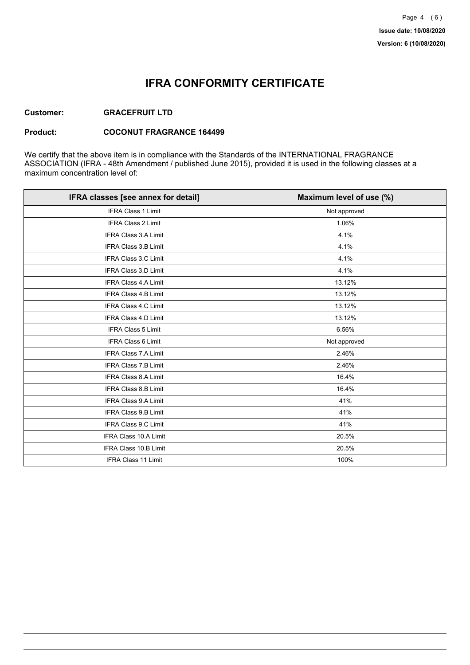## **IFRA CONFORMITY CERTIFICATE**

### **Customer: GRACEFRUIT LTD**

#### **Product: COCONUT FRAGRANCE 164499**

We certify that the above item is in compliance with the Standards of the INTERNATIONAL FRAGRANCE ASSOCIATION (IFRA - 48th Amendment / published June 2015), provided it is used in the following classes at a maximum concentration level of:

| IFRA classes [see annex for detail] | Maximum level of use (%) |
|-------------------------------------|--------------------------|
| <b>IFRA Class 1 Limit</b>           | Not approved             |
| <b>IFRA Class 2 Limit</b>           | 1.06%                    |
| <b>IFRA Class 3.A Limit</b>         | 4.1%                     |
| IFRA Class 3.B Limit                | 4.1%                     |
| <b>IFRA Class 3.C Limit</b>         | 4.1%                     |
| IFRA Class 3.D Limit                | 4.1%                     |
| <b>IFRA Class 4.A Limit</b>         | 13.12%                   |
| <b>IFRA Class 4.B Limit</b>         | 13.12%                   |
| IFRA Class 4.C Limit                | 13.12%                   |
| <b>IFRA Class 4.D Limit</b>         | 13.12%                   |
| <b>IFRA Class 5 Limit</b>           | 6.56%                    |
| <b>IFRA Class 6 Limit</b>           | Not approved             |
| <b>IFRA Class 7.A Limit</b>         | 2.46%                    |
| <b>IFRA Class 7.B Limit</b>         | 2.46%                    |
| <b>IFRA Class 8.A Limit</b>         | 16.4%                    |
| IFRA Class 8.B Limit                | 16.4%                    |
| <b>IFRA Class 9.A Limit</b>         | 41%                      |
| <b>IFRA Class 9.B Limit</b>         | 41%                      |
| IFRA Class 9.C Limit                | 41%                      |
| IFRA Class 10.A Limit               | 20.5%                    |
| IFRA Class 10.B Limit               | 20.5%                    |
| <b>IFRA Class 11 Limit</b>          | 100%                     |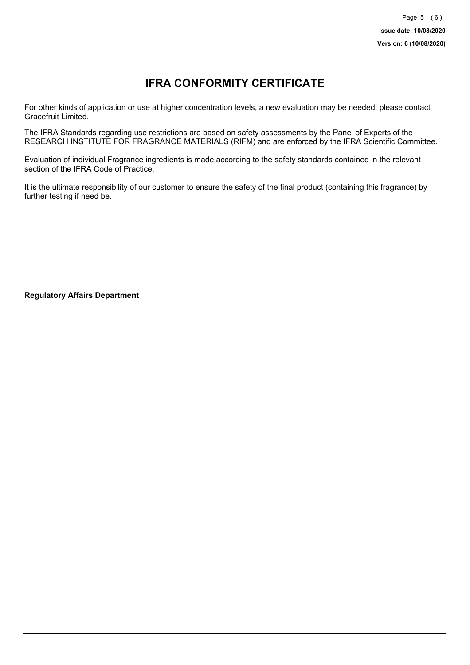# **IFRA CONFORMITY CERTIFICATE**

For other kinds of application or use at higher concentration levels, a new evaluation may be needed; please contact Gracefruit Limited.

The IFRA Standards regarding use restrictions are based on safety assessments by the Panel of Experts of the RESEARCH INSTITUTE FOR FRAGRANCE MATERIALS (RIFM) and are enforced by the IFRA Scientific Committee.

Evaluation of individual Fragrance ingredients is made according to the safety standards contained in the relevant section of the IFRA Code of Practice.

It is the ultimate responsibility of our customer to ensure the safety of the final product (containing this fragrance) by further testing if need be.

**Regulatory Affairs Department**